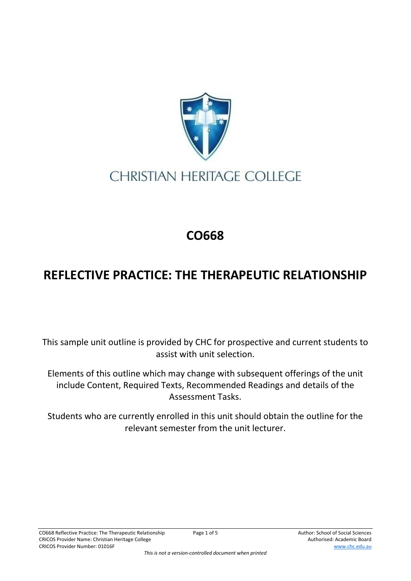

## **CHRISTIAN HERITAGE COLLEGE**

## **CO668**

## **REFLECTIVE PRACTICE: THE THERAPEUTIC RELATIONSHIP**

This sample unit outline is provided by CHC for prospective and current students to assist with unit selection.

Elements of this outline which may change with subsequent offerings of the unit include Content, Required Texts, Recommended Readings and details of the Assessment Tasks.

Students who are currently enrolled in this unit should obtain the outline for the relevant semester from the unit lecturer.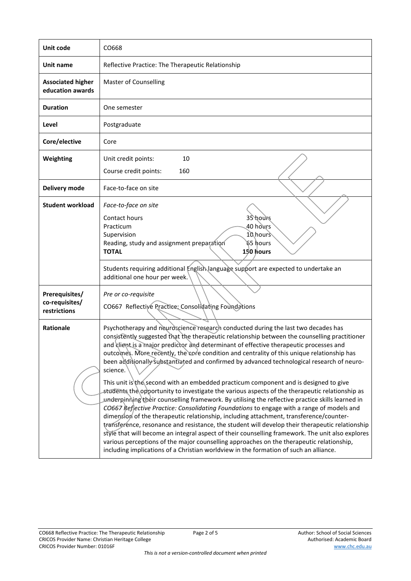| Unit code                                        | CO668                                                                                                                                                                                                                                                                                                                                                                                                                                                                                                                                                                                                                                                                                                                                                                                                                                                                                                                                                                                                                                                                                                                                                                                                                                                                                                                                                                 |  |  |
|--------------------------------------------------|-----------------------------------------------------------------------------------------------------------------------------------------------------------------------------------------------------------------------------------------------------------------------------------------------------------------------------------------------------------------------------------------------------------------------------------------------------------------------------------------------------------------------------------------------------------------------------------------------------------------------------------------------------------------------------------------------------------------------------------------------------------------------------------------------------------------------------------------------------------------------------------------------------------------------------------------------------------------------------------------------------------------------------------------------------------------------------------------------------------------------------------------------------------------------------------------------------------------------------------------------------------------------------------------------------------------------------------------------------------------------|--|--|
| Unit name                                        | Reflective Practice: The Therapeutic Relationship                                                                                                                                                                                                                                                                                                                                                                                                                                                                                                                                                                                                                                                                                                                                                                                                                                                                                                                                                                                                                                                                                                                                                                                                                                                                                                                     |  |  |
| <b>Associated higher</b><br>education awards     | <b>Master of Counselling</b>                                                                                                                                                                                                                                                                                                                                                                                                                                                                                                                                                                                                                                                                                                                                                                                                                                                                                                                                                                                                                                                                                                                                                                                                                                                                                                                                          |  |  |
| <b>Duration</b>                                  | One semester                                                                                                                                                                                                                                                                                                                                                                                                                                                                                                                                                                                                                                                                                                                                                                                                                                                                                                                                                                                                                                                                                                                                                                                                                                                                                                                                                          |  |  |
| Level                                            | Postgraduate                                                                                                                                                                                                                                                                                                                                                                                                                                                                                                                                                                                                                                                                                                                                                                                                                                                                                                                                                                                                                                                                                                                                                                                                                                                                                                                                                          |  |  |
| Core/elective                                    | Core                                                                                                                                                                                                                                                                                                                                                                                                                                                                                                                                                                                                                                                                                                                                                                                                                                                                                                                                                                                                                                                                                                                                                                                                                                                                                                                                                                  |  |  |
| Weighting                                        | 10<br>Unit credit points:<br>Course credit points:<br>160                                                                                                                                                                                                                                                                                                                                                                                                                                                                                                                                                                                                                                                                                                                                                                                                                                                                                                                                                                                                                                                                                                                                                                                                                                                                                                             |  |  |
| Delivery mode                                    | Face-to-face on site                                                                                                                                                                                                                                                                                                                                                                                                                                                                                                                                                                                                                                                                                                                                                                                                                                                                                                                                                                                                                                                                                                                                                                                                                                                                                                                                                  |  |  |
| <b>Student workload</b>                          | Face-to-face on site<br>35 hours<br>Contact hours<br>40 hours<br>Practicum<br>10 hours<br>Supervision<br>՝65 hours<br>Reading, study and assignment preparation<br>150 hours<br><b>TOTAL</b><br>Students requiring additional English language support are expected to undertake an<br>additional one hour per week.                                                                                                                                                                                                                                                                                                                                                                                                                                                                                                                                                                                                                                                                                                                                                                                                                                                                                                                                                                                                                                                  |  |  |
| Prerequisites/<br>co-requisites/<br>restrictions | Pre or co-requisite<br>CO667 Reflective Practice: Consolidating Foundations                                                                                                                                                                                                                                                                                                                                                                                                                                                                                                                                                                                                                                                                                                                                                                                                                                                                                                                                                                                                                                                                                                                                                                                                                                                                                           |  |  |
| <b>Rationale</b>                                 | Psychotherapy and neuroscience research conducted during the last two decades has<br>consistently suggested that the therapeutic relationship between the counselling practitioner<br>and client is a major predictor and determinant of effective therapeutic processes and<br>outcomes. More recently, the core condition and centrality of this unique relationship has<br>been additionally substantiated and confirmed by advanced technological research of neuro-<br>science.<br>This unit is the second with an embedded practicum component and is designed to give<br>students the opportunity to investigate the various aspects of the therapeutic relationship as<br>underginning their counselling framework. By utilising the reflective practice skills learned in<br>CO667 Reflective Practice: Consolidating Foundations to engage with a range of models and<br>dimension of the therapeutic relationship, including attachment, transference/counter-<br>transference, resonance and resistance, the student will develop their therapeutic relationship<br>style that will become an integral aspect of their counselling framework. The unit also explores<br>various perceptions of the major counselling approaches on the therapeutic relationship,<br>including implications of a Christian worldview in the formation of such an alliance. |  |  |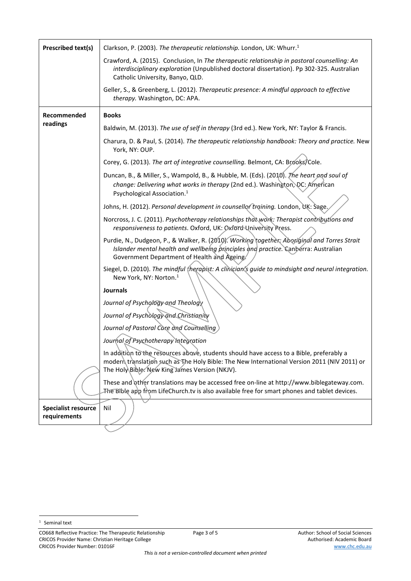| <b>Prescribed text(s)</b>                  | Clarkson, P. (2003). The therapeutic relationship. London, UK: Whurr. <sup>1</sup>                                                                                                                                                        |
|--------------------------------------------|-------------------------------------------------------------------------------------------------------------------------------------------------------------------------------------------------------------------------------------------|
|                                            | Crawford, A. (2015). Conclusion, In The therapeutic relationship in pastoral counselling: An<br>interdisciplinary exploration (Unpublished doctoral dissertation). Pp 302-325. Australian<br>Catholic University, Banyo, QLD.             |
|                                            | Geller, S., & Greenberg, L. (2012). Therapeutic presence: A mindful approach to effective<br>therapy. Washington, DC: APA.                                                                                                                |
| Recommended                                | <b>Books</b>                                                                                                                                                                                                                              |
| readings                                   | Baldwin, M. (2013). The use of self in therapy (3rd ed.). New York, NY: Taylor & Francis.                                                                                                                                                 |
|                                            | Charura, D. & Paul, S. (2014). The therapeutic relationship handbook: Theory and practice. New<br>York, NY: OUP.                                                                                                                          |
|                                            | Corey, G. (2013). The art of integrative counselling. Belmont, CA: Brooks/Cole.                                                                                                                                                           |
|                                            | Duncan, B., & Miller, S., Wampold, B., & Hubble, M. (Eds). (2010). The heart and soul of<br>change: Delivering what works in therapy (2nd ed.). Washington, DC: American<br>Psychological Association. <sup>1</sup>                       |
|                                            | Johns, H. (2012). Personal development in counsellor training. London, UK: Sage,                                                                                                                                                          |
|                                            | Norcross, J. C. (2011). Psychotherapy relationships that work: Therapist contributions and<br>responsiveness to patients. Oxford, UK: Oxford University Press.                                                                            |
|                                            | Purdie, N., Dudgeon, P., & Walker, R. (2010). Working together: Aboriginal and Torres Strait<br>Islander mental health and wellbeing principles and practice. Canberra: Australian<br>Government Department of Health and Ageing.         |
|                                            | Siegel, D. (2010). The mindful therapist: A clinician's guide to mindsight and neural integration.<br>New York, NY: Norton. <sup>1</sup>                                                                                                  |
|                                            | <b>Journals</b>                                                                                                                                                                                                                           |
|                                            | Journal of Psychology and Theology                                                                                                                                                                                                        |
|                                            | Journal of Psychology and Christianity                                                                                                                                                                                                    |
|                                            | Journal of Pastoral Care and Counselling<br>Journal of Psychotherapy Integration                                                                                                                                                          |
|                                            | In addition to the resources above, students should have access to a Bible, preferably a<br>modern translation such as The Holy Bible: The New International Version 2011 (NIV 2011) or<br>The Holy Bible. New King James Version (NKJV). |
|                                            | These and other translations may be accessed free on-line at http://www.biblegateway.com.<br>The Bible app from LifeChurch.tv is also available free for smart phones and tablet devices.                                                 |
| <b>Specialist resource</b><br>requirements | Nil                                                                                                                                                                                                                                       |
|                                            |                                                                                                                                                                                                                                           |

<sup>&</sup>lt;sup>1</sup> Seminal text

CO668 Reflective Practice: The Therapeutic Relationship Page 3 of 5 Author: School of Social Sciences CRICOS Provider Name: Christian Heritage College Authorised: Academic Board Authorised: Academic Board CRICOS Provider Number: 01016F www.chc.edu.au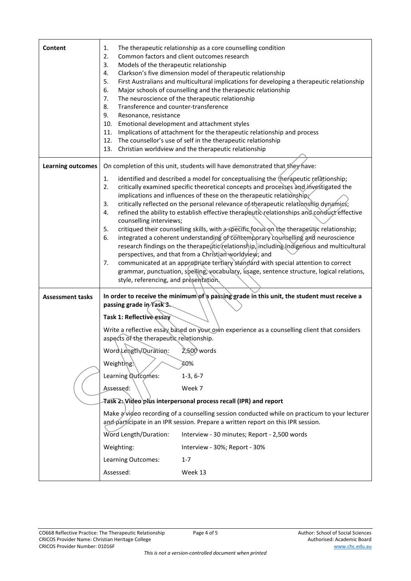| Content                  | The therapeutic relationship as a core counselling condition<br>1.<br>2.<br>Common factors and client outcomes research<br>3.<br>Models of the therapeutic relationship<br>Clarkson's five dimension model of therapeutic relationship<br>4.<br>5.<br>First Australians and multicultural implications for developing a therapeutic relationship<br>6.<br>Major schools of counselling and the therapeutic relationship<br>The neuroscience of the therapeutic relationship<br>7.<br>8.<br>Transference and counter-transference<br>9.<br>Resonance, resistance<br>Emotional development and attachment styles<br>10.<br>Implications of attachment for the therapeutic relationship and process<br>11.<br>12. The counsellor's use of self in the therapeutic relationship<br>13. Christian worldview and the therapeutic relationship                                                                                                                                                                                                                                             |  |  |
|--------------------------|-------------------------------------------------------------------------------------------------------------------------------------------------------------------------------------------------------------------------------------------------------------------------------------------------------------------------------------------------------------------------------------------------------------------------------------------------------------------------------------------------------------------------------------------------------------------------------------------------------------------------------------------------------------------------------------------------------------------------------------------------------------------------------------------------------------------------------------------------------------------------------------------------------------------------------------------------------------------------------------------------------------------------------------------------------------------------------------|--|--|
| <b>Learning outcomes</b> | On completion of this unit, students will have demonstrated that they have:                                                                                                                                                                                                                                                                                                                                                                                                                                                                                                                                                                                                                                                                                                                                                                                                                                                                                                                                                                                                         |  |  |
|                          | identified and described a model for conceptualising the therapeutic relationship;<br>1.<br>critically examined specific theoretical concepts and processes and investigated the<br>2.<br>implications and influences of these on the therapeutic relationship<br>critically reflected on the personal relevance of the rapeutic relationship dynamics;<br>3.<br>refined the ability to establish effective therapeutic relationships and conduct effective<br>4.<br>counselling interviews;<br>critiqued their counselling skills, with a specific focus on the therapeutic relationship;<br>5.<br>integrated a coherent understanding of contemporary counselling and neuroscience<br>6.<br>research findings on the therapeutic relationship, including Indigenous and multicultural<br>perspectives, and that from a Christian worldyley; and<br>communicated at an appropriate tertiary standard with special attention to correct<br>7.<br>grammar, punctuation, spelling, vocabulary, usage, sentence structure, logical relations,<br>style, referencing, and presentation. |  |  |
| <b>Assessment tasks</b>  | In order to receive the minimum of a passing grade in this unit, the student must receive a                                                                                                                                                                                                                                                                                                                                                                                                                                                                                                                                                                                                                                                                                                                                                                                                                                                                                                                                                                                         |  |  |
|                          | passing grade in Task 3.<br>Task 1: Reflective essay<br>Write a reflective essay based on your own experience as a counselling client that considers<br>aspects of the therapeutic relationship.<br>Word\Length/Duration:<br>$2,500$ words<br>Weighting.\<br>40%<br>Learning Qutcomes:<br>$1-3, 6-7$<br>Assessed:<br>Week 7<br>Fask 2: Video plus interpersonal process recall (IPR) and report<br>Make a/video recording of a counselling session conducted while on practicum to your lecturer<br>and participate in an IPR session. Prepare a written report on this IPR session.<br>Word Length/Duration:<br>Interview - 30 minutes; Report - 2,500 words<br>Weighting:<br>Interview - 30%; Report - 30%                                                                                                                                                                                                                                                                                                                                                                        |  |  |
|                          | Learning Outcomes:<br>$1 - 7$                                                                                                                                                                                                                                                                                                                                                                                                                                                                                                                                                                                                                                                                                                                                                                                                                                                                                                                                                                                                                                                       |  |  |
|                          | Assessed:<br>Week 13                                                                                                                                                                                                                                                                                                                                                                                                                                                                                                                                                                                                                                                                                                                                                                                                                                                                                                                                                                                                                                                                |  |  |